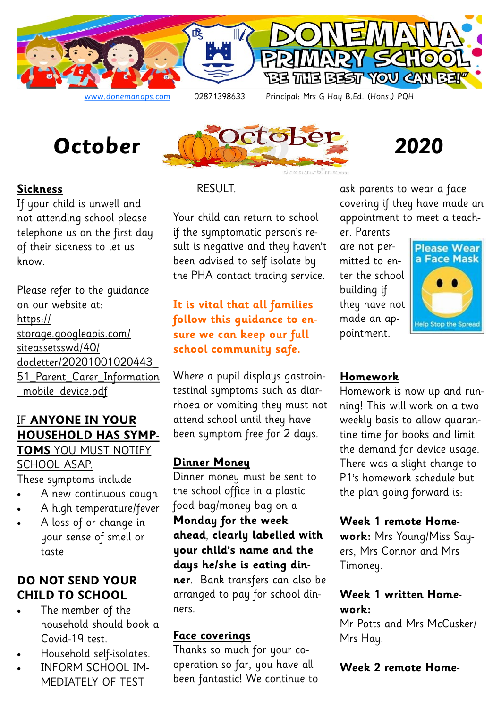



## **Sickness**

If your child is unwell and not attending school please telephone us on the first day of their sickness to let us know.

Please refer to the guidance on our website at: https:// storage.googleapis.com/ siteassetsswd/40/ docletter/20201001020443\_ 51\_Parent\_Carer\_Information \_mobile\_device.pdf

### IF **ANYONE IN YOUR HOUSEHOLD HAS SYMP-TOMS** YOU MUST NOTIFY

## SCHOOL ASAP.

These symptoms include

- A new continuous cough
- A high temperature/fever
- A loss of or change in your sense of smell or taste

# **DO NOT SEND YOUR CHILD TO SCHOOL**

- The member of the household should book a Covid-19 test.
- Household self-isolates.
- INFORM SCHOOL IM-MEDIATELY OF TEST

# RESULT.

Your child can return to school if the symptomatic person's result is negative and they haven't been advised to self isolate by the PHA contact tracing service.

# **It is vital that all families follow this guidance to ensure we can keep our full school community safe.**

Where a pupil displays gastrointestinal symptoms such as diarrhoea or vomiting they must not attend school until they have been symptom free for 2 days.

# **Dinner Money**

Dinner money must be sent to the school office in a plastic food bag/money bag on a **Monday for the week ahead**, **clearly labelled with your child's name and the days he/she is eating dinner**. Bank transfers can also be arranged to pay for school dinners.

## **Face coverings**

Thanks so much for your cooperation so far, you have all been fantastic! We continue to ask parents to wear a face covering if they have made an appointment to meet a teach-

er. Parents are not permitted to enter the school building if they have not made an appointment.



# **Homework**

Homework is now up and running! This will work on a two weekly basis to allow quarantine time for books and limit the demand for device usage. There was a slight change to P1's homework schedule but the plan going forward is:

## **Week 1 remote Home-**

**work:** Mrs Young/Miss Sayers, Mrs Connor and Mrs Timoney.

### **Week 1 written Homework:**

Mr Potts and Mrs McCusker/ Mrs Hay.

## **Week 2 remote Home-**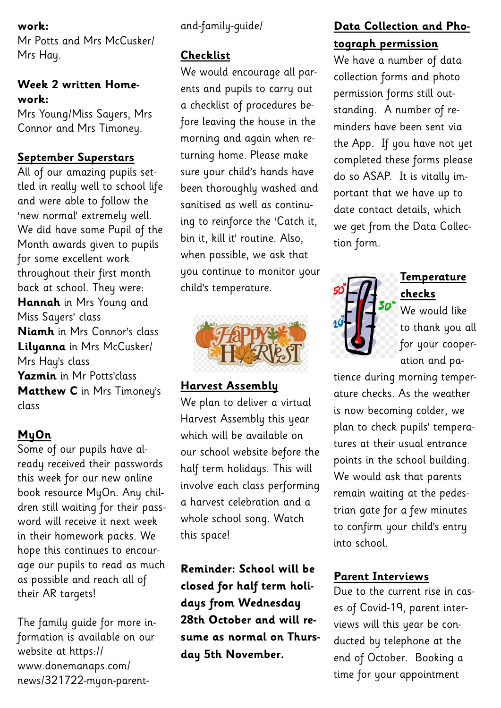#### **work:**

Mr Potts and Mrs McCusker/ Mrs Hay.

## **Week 2 written Homework:**

Mrs Young/Miss Sayers, Mrs Connor and Mrs Timoney.

## **September Superstars**

All of our amazing pupils settled in really well to school life and were able to follow the 'new normal' extremely well. We did have some Pupil of the Month awards given to pupils for some excellent work throughout their first month back at school. They were: **Hannah** in Mrs Young and Miss Sayers' class **Niamh** in Mrs Connor's class **Lilyanna** in Mrs McCusker/ Mrs Hay's class **Yazmin** in Mr Potts'class **Matthew C** in Mrs Timoney's class

# **MyOn**

Some of our pupils have already received their passwords this week for our new online book resource MyOn. Any children still waiting for their password will receive it next week in their homework packs. We hope this continues to encourage our pupils to read as much as possible and reach all of their AR targets!

The family guide for more information is available on our website at https:// www.donemanaps.com/ news/321722-myon-parent-

### and-family-guide/

## **Checklist**

We would encourage all parents and pupils to carry out a checklist of procedures before leaving the house in the morning and again when returning home. Please make sure your child's hands have been thoroughly washed and sanitised as well as continuing to reinforce the 'Catch it, bin it, kill it' routine. Also, when possible, we ask that you continue to monitor your child's temperature.



# **Harvest Assembly**

We plan to deliver a virtual Harvest Assembly this year which will be available on our school website before the half term holidays. This will involve each class performing a harvest celebration and a whole school song. Watch this space!

**Reminder: School will be closed for half term holidays from Wednesday 28th October and will resume as normal on Thursday 5th November.** 

# **Data Collection and Photograph permission**

We have a number of data collection forms and photo permission forms still outstanding. A number of reminders have been sent via the App. If you have not yet completed these forms please do so ASAP. It is vitally important that we have up to date contact details, which we get from the Data Collection form.



# **Temperature checks**

We would like to thank you all for your cooperation and pa-

tience during morning temperature checks. As the weather is now becoming colder, we plan to check pupils' temperatures at their usual entrance points in the school building. We would ask that parents remain waiting at the pedestrian gate for a few minutes to confirm your child's entry into school.

# **Parent Interviews**

Due to the current rise in cases of Covid-19, parent interviews will this year be conducted by telephone at the end of October. Booking a time for your appointment